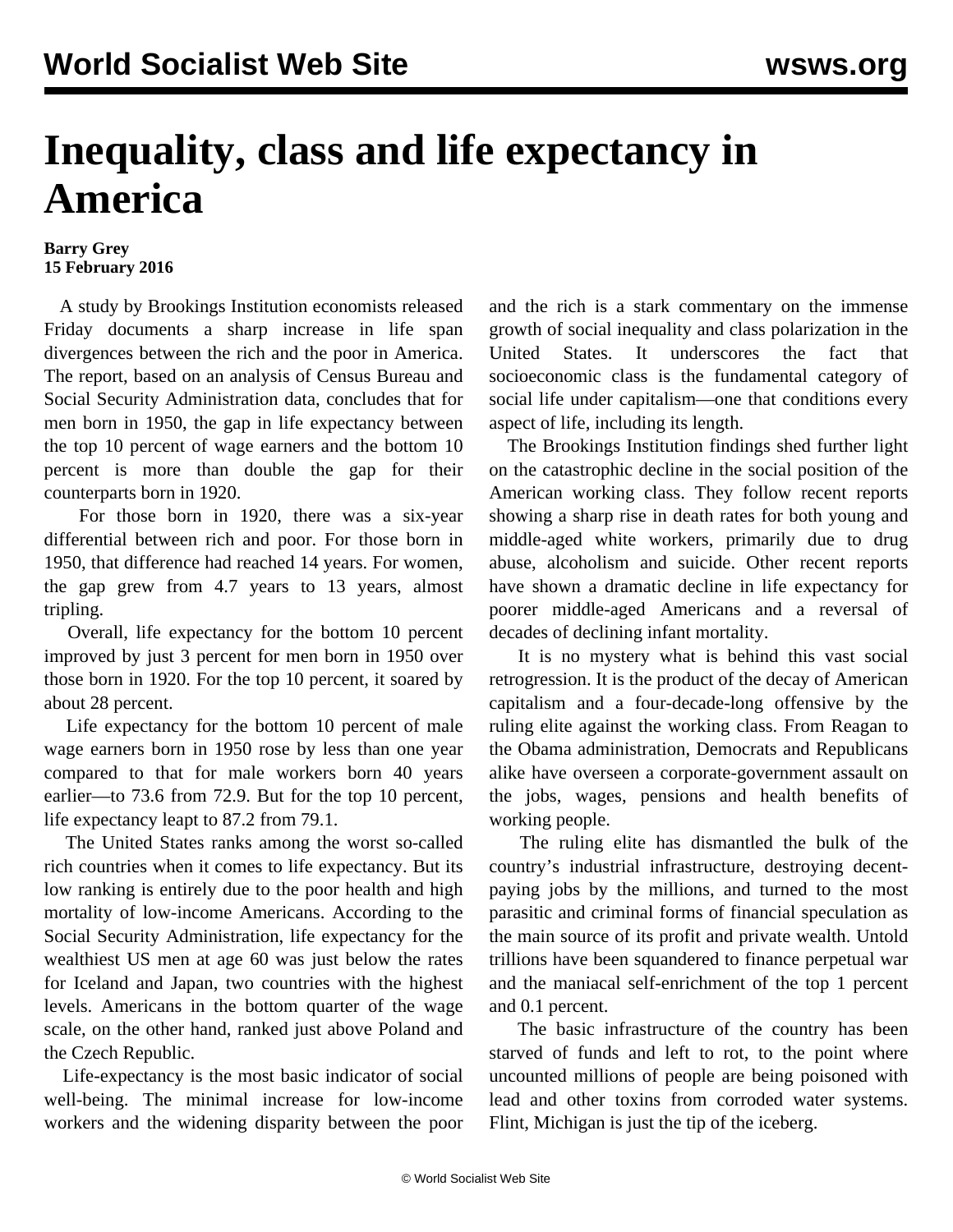## **Inequality, class and life expectancy in America**

## **Barry Grey 15 February 2016**

 A study by Brookings Institution economists released Friday documents a sharp increase in life span divergences between the rich and the poor in America. The report, based on an analysis of Census Bureau and Social Security Administration data, concludes that for men born in 1950, the gap in life expectancy between the top 10 percent of wage earners and the bottom 10 percent is more than double the gap for their counterparts born in 1920.

 For those born in 1920, there was a six-year differential between rich and poor. For those born in 1950, that difference had reached 14 years. For women, the gap grew from 4.7 years to 13 years, almost tripling.

 Overall, life expectancy for the bottom 10 percent improved by just 3 percent for men born in 1950 over those born in 1920. For the top 10 percent, it soared by about 28 percent.

 Life expectancy for the bottom 10 percent of male wage earners born in 1950 rose by less than one year compared to that for male workers born 40 years earlier—to 73.6 from 72.9. But for the top 10 percent, life expectancy leapt to 87.2 from 79.1.

 The United States ranks among the worst so-called rich countries when it comes to life expectancy. But its low ranking is entirely due to the poor health and high mortality of low-income Americans. According to the Social Security Administration, life expectancy for the wealthiest US men at age 60 was just below the rates for Iceland and Japan, two countries with the highest levels. Americans in the bottom quarter of the wage scale, on the other hand, ranked just above Poland and the Czech Republic.

 Life-expectancy is the most basic indicator of social well-being. The minimal increase for low-income workers and the widening disparity between the poor and the rich is a stark commentary on the immense growth of social inequality and class polarization in the United States. It underscores the fact that socioeconomic class is the fundamental category of social life under capitalism—one that conditions every aspect of life, including its length.

 The Brookings Institution findings shed further light on the catastrophic decline in the social position of the American working class. They follow recent reports showing a sharp rise in death rates for both young and middle-aged white workers, primarily due to drug abuse, alcoholism and suicide. Other recent reports have shown a dramatic decline in life expectancy for poorer middle-aged Americans and a reversal of decades of declining infant mortality.

 It is no mystery what is behind this vast social retrogression. It is the product of the decay of American capitalism and a four-decade-long offensive by the ruling elite against the working class. From Reagan to the Obama administration, Democrats and Republicans alike have overseen a corporate-government assault on the jobs, wages, pensions and health benefits of working people.

 The ruling elite has dismantled the bulk of the country's industrial infrastructure, destroying decentpaying jobs by the millions, and turned to the most parasitic and criminal forms of financial speculation as the main source of its profit and private wealth. Untold trillions have been squandered to finance perpetual war and the maniacal self-enrichment of the top 1 percent and 0.1 percent.

 The basic infrastructure of the country has been starved of funds and left to rot, to the point where uncounted millions of people are being poisoned with lead and other toxins from corroded water systems. Flint, Michigan is just the tip of the iceberg.